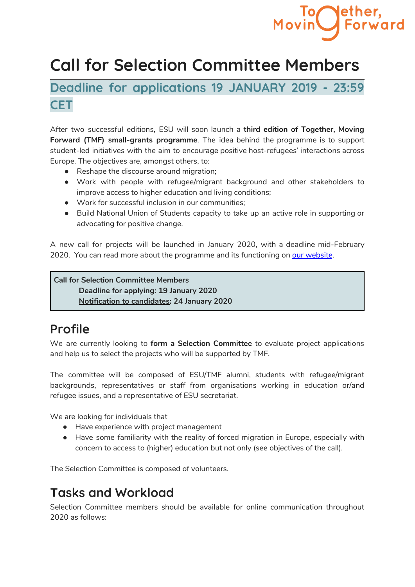# **Call for Selection Committee Members**

**Deadline for applications 19 JANUARY 2019 - 23:59 CET**

After two successful editions, ESU will soon launch a **third edition of Together, Moving Forward (TMF) small-grants programme**. The idea behind the programme is to support student-led initiatives with the aim to encourage positive host-refugees' interactions across Europe. The objectives are, amongst others, to:

- Reshape the discourse around migration;
- Work with people with refugee/migrant background and other stakeholders to improve access to higher education and living conditions;
- Work for successful inclusion in our communities;
- Build National Union of Students capacity to take up an active role in supporting or advocating for positive change.

A new call for projects will be launched in January 2020, with a deadline mid-February 2020. You can read more about the programme and its functioning on our [website](https://www.esu-online.org/?project=together-moving-forward).

**Call for Selection Committee Members Deadline for applying: 19 January 2020 Notification to candidates: 24 January 2020**

# **Profile**

We are currently looking to **form a Selection Committee** to evaluate project applications and help us to select the projects who will be supported by TMF.

The committee will be composed of ESU/TMF alumni, students with refugee/migrant backgrounds, representatives or staff from organisations working in education or/and refugee issues, and a representative of ESU secretariat.

We are looking for individuals that

- Have experience with project management
- Have some familiarity with the reality of forced migration in Europe, especially with concern to access to (higher) education but not only (see objectives of the call).

The Selection Committee is composed of volunteers.

### **Tasks and Workload**

Selection Committee members should be available for online communication throughout 2020 as follows: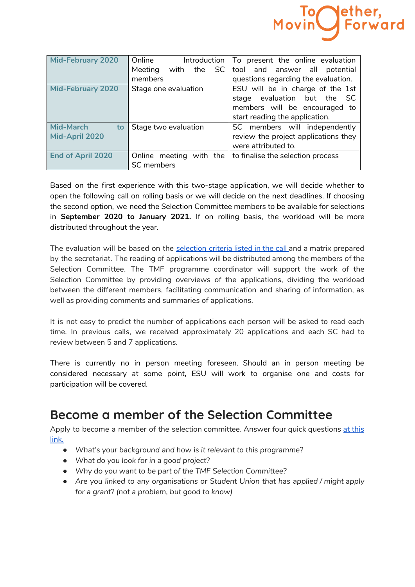

| <b>Mid-February 2020</b> | Online                    | Introduction   To present the online evaluation |
|--------------------------|---------------------------|-------------------------------------------------|
|                          | SC<br>Meeting<br>with the | tool and answer all potential                   |
|                          | members                   | questions regarding the evaluation.             |
| <b>Mid-February 2020</b> | Stage one evaluation      | ESU will be in charge of the 1st                |
|                          |                           | stage evaluation but the<br>- SC                |
|                          |                           | members will be encouraged to                   |
|                          |                           | start reading the application.                  |
| <b>Mid-March</b><br>to   | Stage two evaluation      | SC members will independently                   |
| Mid-April 2020           |                           | review the project applications they            |
|                          |                           | were attributed to.                             |
| <b>End of April 2020</b> | Online meeting with the   | to finalise the selection process               |
|                          | SC members                |                                                 |

Based on the first experience with this two-stage application, we will decide whether to open the following call on rolling basis or we will decide on the next deadlines. If choosing the second option, we need the Selection Committee members to be available for selections in **September 2020 to January 2021.** If on rolling basis, the workload will be more distributed throughout the year.

The evaluation will be based on the [selection](https://www.esu-online.org/wp-content/uploads/2016/11/2018_TMF_Key-Principles-and-Selection-Criteria.pdf) criteria listed in the call and a matrix prepared by the secretariat. The reading of applications will be distributed among the members of the Selection Committee. The TMF programme coordinator will support the work of the Selection Committee by providing overviews of the applications, dividing the workload between the different members, facilitating communication and sharing of information, as well as providing comments and summaries of applications.

It is not easy to predict the number of applications each person will be asked to read each time. In previous calls, we received approximately 20 applications and each SC had to review between 5 and 7 applications.

There is currently no in person meeting foreseen. Should an in person meeting be considered necessary at some point, ESU will work to organise one and costs for participation will be covered.

### **Become a member of the Selection Committee**

Apply to become a member of the selection committee. Answer four quick questions at [this](https://forms.gle/sviu1xyfgr3bQPzr9) [link.](https://forms.gle/sviu1xyfgr3bQPzr9)

- *● What's your background and how is it relevant to this programme?*
- *● What do you look for in a good project?*
- *● Why do you want to be part of the TMF Selection Committee?*
- *● Are you linked to any organisations or Student Union that has applied / might apply for a grant? (not a problem, but good to know)*